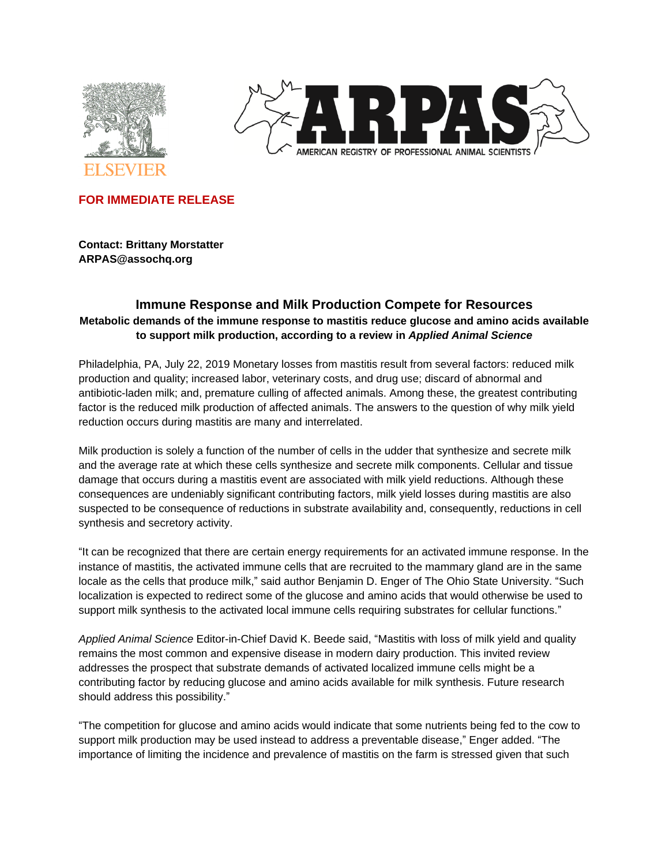



**FOR IMMEDIATE RELEASE**

**Contact: Brittany Morstatter ARPAS@assochq.org**

# **Immune Response and Milk Production Compete for Resources Metabolic demands of the immune response to mastitis reduce glucose and amino acids available to support milk production, according to a review in** *Applied Animal Science*

Philadelphia, PA, July 22, 2019 Monetary losses from mastitis result from several factors: reduced milk production and quality; increased labor, veterinary costs, and drug use; discard of abnormal and antibiotic-laden milk; and, premature culling of affected animals. Among these, the greatest contributing factor is the reduced milk production of affected animals. The answers to the question of why milk yield reduction occurs during mastitis are many and interrelated.

Milk production is solely a function of the number of cells in the udder that synthesize and secrete milk and the average rate at which these cells synthesize and secrete milk components. Cellular and tissue damage that occurs during a mastitis event are associated with milk yield reductions. Although these consequences are undeniably significant contributing factors, milk yield losses during mastitis are also suspected to be consequence of reductions in substrate availability and, consequently, reductions in cell synthesis and secretory activity.

"It can be recognized that there are certain energy requirements for an activated immune response. In the instance of mastitis, the activated immune cells that are recruited to the mammary gland are in the same locale as the cells that produce milk," said author Benjamin D. Enger of The Ohio State University. "Such localization is expected to redirect some of the glucose and amino acids that would otherwise be used to support milk synthesis to the activated local immune cells requiring substrates for cellular functions."

*Applied Animal Science* Editor-in-Chief David K. Beede said, "Mastitis with loss of milk yield and quality remains the most common and expensive disease in modern dairy production. This invited review addresses the prospect that substrate demands of activated localized immune cells might be a contributing factor by reducing glucose and amino acids available for milk synthesis. Future research should address this possibility."

"The competition for glucose and amino acids would indicate that some nutrients being fed to the cow to support milk production may be used instead to address a preventable disease," Enger added. "The importance of limiting the incidence and prevalence of mastitis on the farm is stressed given that such